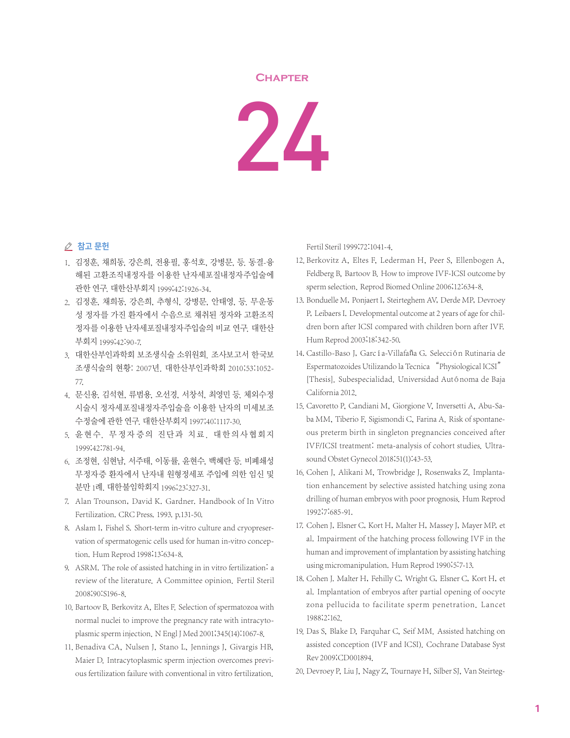## **Chapter**

24

## ⊘ 참고 문헌

- 1. 김정훈, 채희동, 강은희, 전용필, 홍석호, 강병문, 등. 동결-융 해된 고환조직내정자를 이용한 난자세포질내정자주입술에 관한 연구. 대한산부회지 1999;42:1926-34.
- 2. 김정훈, 채희동, 강은희, 추형식, 강병문, 안태영, 등. 무운동 성 정자를 가진 환자에서 수음으로 채취된 정자와 고환조직 정자를 이용한 난자세포질내정자주입술의 비교 연구. 대한산 부회지 1999;42:90-7.
- 3. 대한산부인과학회 보조생식술 소위원회. 조사보고서 한국보 조생식술의 현황: 2007년. 대한산부인과학회 2010;53:1052- 77.
- 4. 문신용, 김석현, 류범용, 오선경, 서창석, 최영민 등. 체외수정 시술시 정자세포질내정자주입술을 이용한 난자의 미세보조 수정술에 관한 연구. 대한산부회지 1997;40:1117-30.
- 5. 윤현수. 무정자증의 진단과 치료. 대한의사협회지 1999;42:781-94.
- 6. 조정현, 심현남, 서주태, 이동률, 윤현수, 백혜란 등. 비폐쇄성 무정자증 환자에서 난자내 원형정세포 주입에 의한 임신 및 분만 1례. 대한불임학회지 1996;23:327-31.
- 7. Alan Trounson, David K. Gardner. Handbook of In Vitro Fertilization. CRC Press. 1993. p.131-50.
- 8. Aslam I, Fishel S. Short-term in-vitro culture and cryopreservation of spermatogenic cells used for human in-vitro conception. Hum Reprod 1998;13:634-8.
- 9. ASRM. The role of assisted hatching in in vitro fertilization: a review of the literature. A Committee opinion. Fertil Steril 2008;90:S196-8.
- 10. Bartoov B, Berkovitz A, Eltes F. Selection of spermatozoa with normal nuclei to improve the pregnancy rate with intracytoplasmic sperm injection. N Engl J Med 2001;345(14):1067-8.
- 11. Benadiva CA, Nulsen J, Stano L, Jennings J, Givargis HB, Maier D. Intracytoplasmic sperm injection overcomes previous fertilization failure with conventional in vitro fertilization.

Fertil Steril 1999;72:1041-4.

- 12. Berkovitz A, Eltes F, Lederman H, Peer S, Ellenbogen A, Feldberg B, Bartoov B. How to improve IVF-ICSI outcome by sperm selection. Reprod Biomed Online 2006;12:634-8.
- 13. Bonduelle M, Ponjaert I, Steirteghem AV, Derde MP, Devroey P, Leibaers I. Developmental outcome at 2 years of age for children born after ICSI compared with children born after IVF. Hum Reprod 2003;18:342-50.
- 14. Castillo-Baso J, García-Villafaña G. Selección Rutinaria de Espermatozoides Utilizando la Tecnica "Physiological ICSI" [Thesis]. Subespecialidad. Universidad Autónoma de Baja California 2012.
- 15. Cavoretto P, Candiani M, Giorgione V, Inversetti A, Abu-Saba MM, Tiberio F, Sigismondi C, Farina A. Risk of spontaneous preterm birth in singleton pregnancies conceived after IVF/ICSI treatment: meta-analysis of cohort studies. Ultrasound Obstet Gynecol 2018;51(1):43-53.
- 16. Cohen J, Alikani M, Trowbridge J, Rosenwaks Z. Implantation enhancement by selective assisted hatching using zona drilling of human embryos with poor prognosis. Hum Reprod 1992;7:685-91.
- 17. Cohen J, Elsner C, Kort H, Malter H, Massey J, Mayer MP, et al. Impairment of the hatching process following IVF in the human and improvement of implantation by assisting hatching using micromanipulation. Hum Reprod 1990;5:7-13.
- 18. Cohen J. Malter H, Fehilly C, Wright G, Elsner C, Kort H, et al. Implantation of embryos after partial opening of oocyte zona pellucida to facilitate sperm penetration. Lancet 1988;2:162.
- 19. Das S, Blake D, Farquhar C, Seif MM. Assisted hatching on assisted conception (IVF and ICSI). Cochrane Database Syst Rev 2009;CD001894.
- 20. Devroey P, Liu J, Nagy Z, Tournaye H, Silber SJ, Van Steirteg-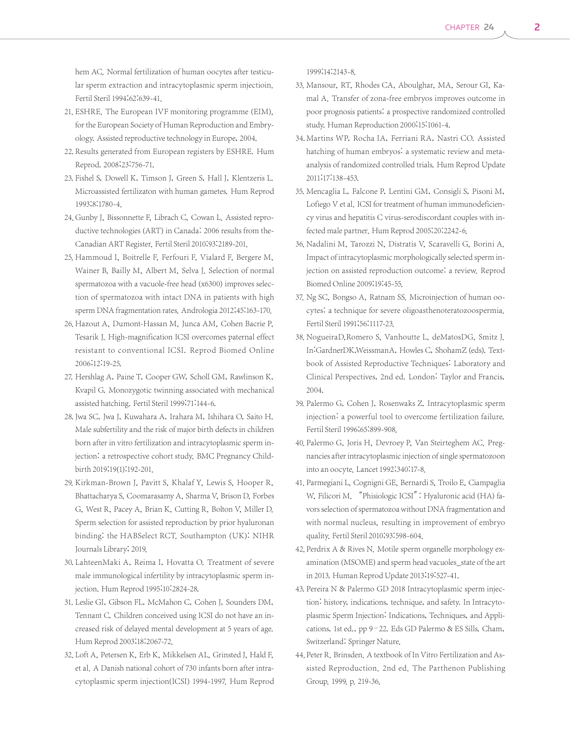hem AC. Normal fertilization of human oocytes after testicular sperm extraction and intracytoplasmic sperm injectioin. Fertil Steril 1994;62:639-41.

- 21. ESHRE. The European IVF monitoring programme (EIM), for the European Society of Human Reproduction and Embryology. Assisted reproductive technology in Europe, 2004.
- 22. Results generated from European registers by ESHRE. Hum Reprod. 2008;23:756-71.
- 23. Fishel S, Dowell K, Timson J, Green S, Hall J, Klentzeris L. Microassisted fertilizaton with human gametes. Hum Reprod 1993;8:1780-4.
- 24. Gunby J, Bissonnette F, Librach C, Cowan L. Assisted reproductive technologies (ART) in Canada: 2006 results from the-Canadian ART Register. Fertil Steril 2010;93:2189-201.
- 25. Hammoud I, Boitrelle F, Ferfouri F, Vialard F, Bergere M, Wainer B, Bailly M, Albert M, Selva J. Selection of normal spermatozoa with a vacuole-free head (x6300) improves selection of spermatozoa with intact DNA in patients with high sperm DNA fragmentation rates. Andrologia 2012;45:163-170.
- 26. Hazout A, Dumont-Hassan M, Junca AM, Cohen Bacrie P, Tesarik J. High-magnification ICSI overcomes paternal effect resistant to conventional ICSI. Reprod Biomed Online 2006;12:19-25.
- 27. Hershlag A, Paine T, Cooper GW, Scholl GM, Rawlinson K, Kvapil G. Monozygotic twinning associated with mechanical assisted hatching. Fertil Steril 1999;71:144-6.
- 28. Jwa SC, Jwa J, Kuwahara A, Irahara M, Ishihara O, Saito H. Male subfertility and the risk of major birth defects in children born after in vitro fertilization and intracytoplasmic sperm injection: a retrospective cohort study. BMC Pregnancy Childbirth 2019;19(1):192-201.
- 29. Kirkman-Brown J, Pavitt S, Khalaf Y, Lewis S, Hooper R, Bhattacharya S, Coomarasamy A, Sharma V, Brison D, Forbes G, West R, Pacey A, Brian K, Cutting R, Bolton V, Miller D. Sperm selection for assisted reproduction by prior hyaluronan binding: the HABSelect RCT. Southampton (UK): NIHR Journals Library; 2019.
- 30. LahteenMaki A, Reima I, Hovatta O. Treatment of severe male immunological infertility by intracytoplasmic sperm injection. Hum Reprod 1995;10:2824-28.
- 31. Leslie GI, Gibson FL, McMahon C, Cohen J, Sounders DM, Tennant C. Children conceived using ICSI do not have an increased risk of delayed mental development at 5 years of age. Hum Reprod 2003;18:2067-72.
- 32. Loft A, Petersen K, Erb K, Mikkelsen AL, Grinsted J, Hald F, et al. A Danish national cohort of 730 infants born after intracytoplasmic sperm injection(ICSI) 1994-1997. Hum Reprod

1999;14:2143-8.

- 33. Mansour, RT, Rhodes CA, Aboulghar, MA, Serour GI, Kamal A. Transfer of zona-free embryos improves outcome in poor prognosis patients: a prospective randomized controlled study. Human Reproduction 2000;15:1061-4.
- 34. Martins WP, Rocha IA, Ferriani RA, Nastri CO. Assisted hatching of human embryos: a systematic review and metaanalysis of randomized controlled trials. Hum Reprod Update 2011;17:138-453.
- 35. Mencaglia L, Falcone P, Lentini GM, Consigli S, Pisoni M, Lofiego V et al. ICSI for treatment of human immunodeficiency virus and hepatitis C virus-serodiscordant couples with infected male partner. Hum Reprod 2005;20:2242-6.
- 36. Nadalini M, Tarozzi N, Distratis V, Scaravelli G, Borini A. Impact of intracytoplasmic morphologically selected sperm injection on assisted reproduction outcome: a review. Reprod Biomed Online 2009;19:45-55.
- 37. Ng SC, Bongso A, Ratnam SS. Microinjection of human oocytes: a technique for severe oligoasthenoteratozoospermia. Fertil Steril 1991;56:1117-23.
- 38. NogueiraD,Romero S, Vanhoutte L, deMatosDG, Smitz J. In:GardnerDK,WeissmanA, Howles C, ShohamZ (eds). Textbook of Assisted Reproductive Techniques: Laboratory and Clinical Perspectives, 2nd ed. London: Taylor and Francis, 2004.
- 39. Palermo G, Cohen J, Rosenwaks Z. Intracytoplasmic sperm injection: a powerful tool to overcome fertilization failure. Fertil Steril 1996;65:899-908.
- 40. Palermo G, Joris H, Devroey P, Van Steirteghem AC. Pregnancies after intracytoplasmic injection of single spermatozoon into an oocyte. Lancet 1992;340:17-8.
- 41. Parmegiani L, Cognigni GE, Bernardi S, Troilo E, Ciampaglia W, Filicori M. "Phisiologic ICSI": Hyaluronic acid (HA) favors selection of spermatozoa without DNA fragmentation and with normal nucleus, resulting in improvement of embryo quality. Fertil Steril 2010;93:598-604.
- 42. Perdrix A & Rives N. Motile sperm organelle morphology examination (MSOME) and sperm head vacuoles\_state of the art in 2013. Human Reprod Update 2013;19:527-41.
- 43. Pereira N & Palermo GD 2018 Intracytoplasmic sperm injection: history, indications, technique, and safety. In Intracytoplasmic Sperm Injection: Indications, Techniques, and Applications, 1st ed., pp 9–22. Eds GD Palermo & ES Sills. Cham, Switzerland: Springer Nature.
- 44. Peter R. Brinsden. A textbook of In Vitro Fertilization and Assisted Reproduction. 2nd ed. The Parthenon Publishing Group. 1999. p. 219-36.